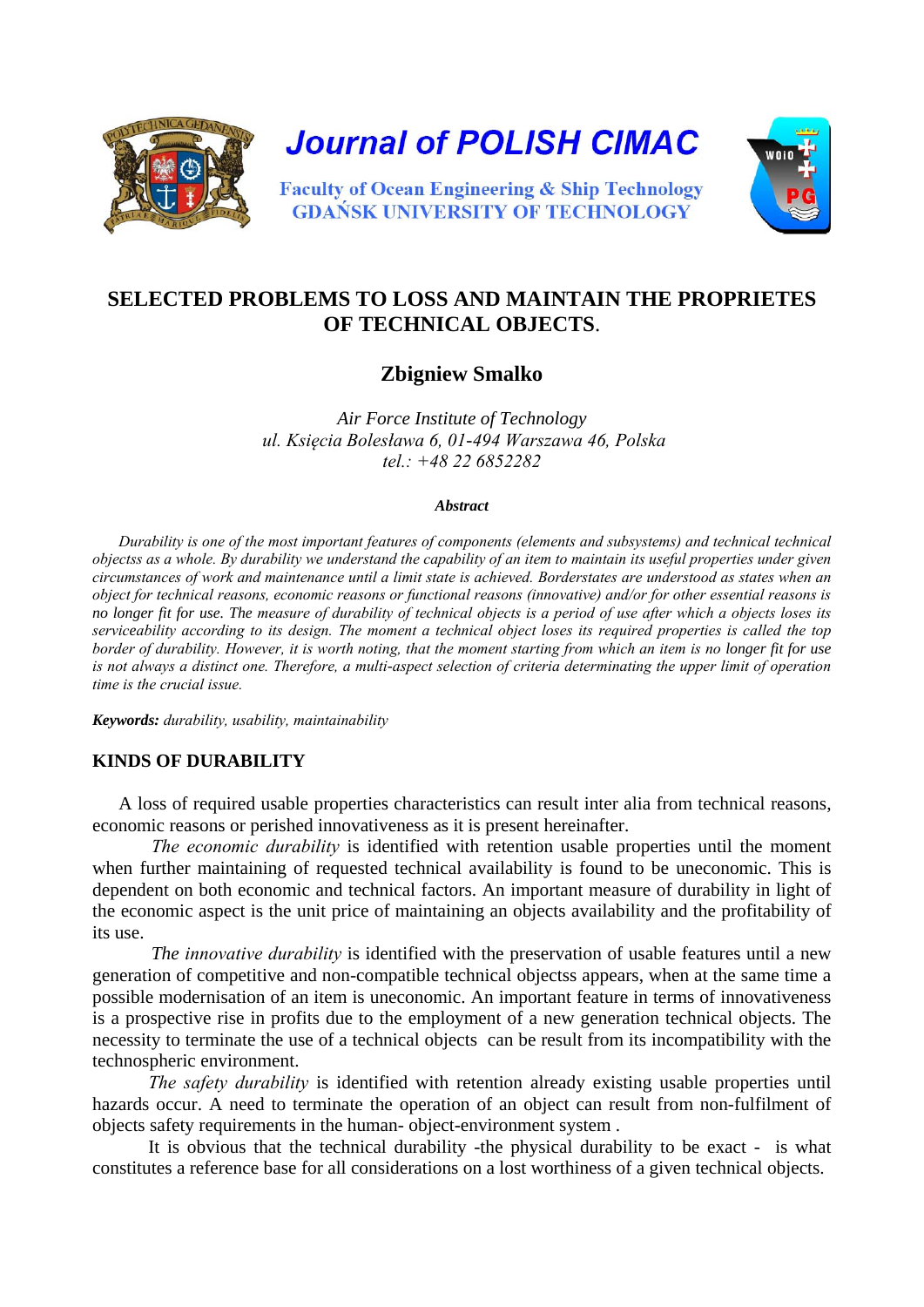

**Journal of POLISH CIMAC** 



**Faculty of Ocean Engineering & Ship Technology GDAŃSK UNIVERSITY OF TECHNOLOGY** 

# **SELECTED PROBLEMS TO LOSS AND MAINTAIN THE PROPRIETES OF TECHNICAL OBJECTS**.

# **Zbigniew Smalko**

*Air Force Institute of Technology ul. Księcia Bolesława 6, 01-494 Warszawa 46, Polska tel.: +48 22 6852282*

#### *Abstract*

*Durability is one of the most important features of components (elements and subsystems) and technical technical objectss as a whole. By durability we understand the capability of an item to maintain its useful properties under given circumstances of work and maintenance until a limit state is achieved. Borderstates are understood as states when an object for technical reasons, economic reasons or functional reasons (innovative) and/or for other essential reasons is no longer fit for use. The measure of durability of technical objects is a period of use after which a objects loses its serviceability according to its design. The moment a technical object loses its required properties is called the top border of durability. However, it is worth noting, that the moment starting from which an item is no longer fit for use*  is not always a distinct one. Therefore, a multi-aspect selection of criteria determinating the upper limit of operation *time is the crucial issue.*

*Keywords: durability, usability, maintainability*

## **KINDS OF DURABILITY**

A loss of required usable properties characteristics can result inter alia from technical reasons, economic reasons or perished innovativeness as it is present hereinafter.

 *The economic durability* is identified with retention usable properties until the moment when further maintaining of requested technical availability is found to be uneconomic. This is dependent on both economic and technical factors. An important measure of durability in light of the economic aspect is the unit price of maintaining an objects availability and the profitability of its use.

 *The innovative durability* is identified with the preservation of usable features until a new generation of competitive and non-compatible technical objectss appears, when at the same time a possible modernisation of an item is uneconomic. An important feature in terms of innovativeness is a prospective rise in profits due to the employment of a new generation technical objects. The necessity to terminate the use of a technical objects can be result from its incompatibility with the technospheric environment.

*The safety durability* is identified with retention already existing usable properties until hazards occur. A need to terminate the operation of an object can result from non-fulfilment of objects safety requirements in the human- object-environment system .

It is obvious that the technical durability -the physical durability to be exact - is what constitutes a reference base for all considerations on a lost worthiness of a given technical objects.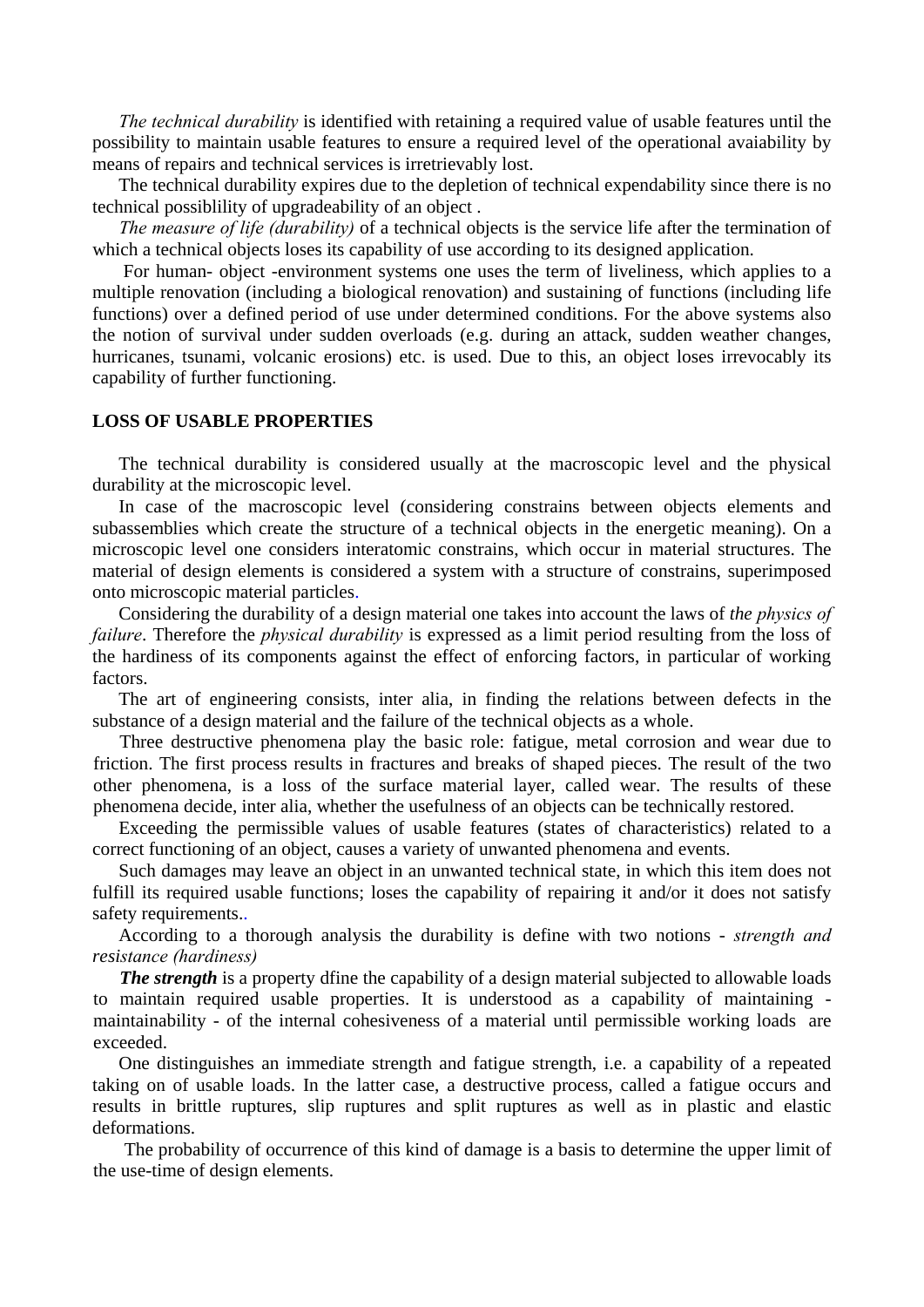*The technical durability* is identified with retaining a required value of usable features until the possibility to maintain usable features to ensure a required level of the operational avaiability by means of repairs and technical services is irretrievably lost.

The technical durability expires due to the depletion of technical expendability since there is no technical possiblility of upgradeability of an object .

*The measure of life (durability)* of a technical objects is the service life after the termination of which a technical objects loses its capability of use according to its designed application.

For human- object -environment systems one uses the term of liveliness, which applies to a multiple renovation (including a biological renovation) and sustaining of functions (including life functions) over a defined period of use under determined conditions. For the above systems also the notion of survival under sudden overloads (e.g. during an attack, sudden weather changes, hurricanes, tsunami, volcanic erosions) etc. is used. Due to this, an object loses irrevocably its capability of further functioning.

#### **LOSS OF USABLE PROPERTIES**

The technical durability is considered usually at the macroscopic level and the physical durability at the microscopic level.

In case of the macroscopic level (considering constrains between objects elements and subassemblies which create the structure of a technical objects in the energetic meaning). On a microscopic level one considers interatomic constrains, which occur in material structures. The material of design elements is considered a system with a structure of constrains, superimposed onto microscopic material particles.

Considering the durability of a design material one takes into account the laws of *the physics of failure*. Therefore the *physical durability* is expressed as a limit period resulting from the loss of the hardiness of its components against the effect of enforcing factors, in particular of working factors.

The art of engineering consists, inter alia, in finding the relations between defects in the substance of a design material and the failure of the technical objects as a whole.

Three destructive phenomena play the basic role: fatigue, metal corrosion and wear due to friction. The first process results in fractures and breaks of shaped pieces. The result of the two other phenomena, is a loss of the surface material layer, called wear. The results of these phenomena decide, inter alia, whether the usefulness of an objects can be technically restored.

Exceeding the permissible values of usable features (states of characteristics) related to a correct functioning of an object, causes a variety of unwanted phenomena and events.

Such damages may leave an object in an unwanted technical state, in which this item does not fulfill its required usable functions; loses the capability of repairing it and/or it does not satisfy safety requirements..

According to a thorough analysis the durability is define with two notions - *strength and resistance (hardiness)*

**The strength** is a property dfine the capability of a design material subjected to allowable loads to maintain required usable properties. It is understood as a capability of maintaining maintainability - of the internal cohesiveness of a material until permissible working loads are exceeded.

One distinguishes an immediate strength and fatigue strength, i.e. a capability of a repeated taking on of usable loads. In the latter case, a destructive process, called a fatigue occurs and results in brittle ruptures, slip ruptures and split ruptures as well as in plastic and elastic deformations.

The probability of occurrence of this kind of damage is a basis to determine the upper limit of the use-time of design elements.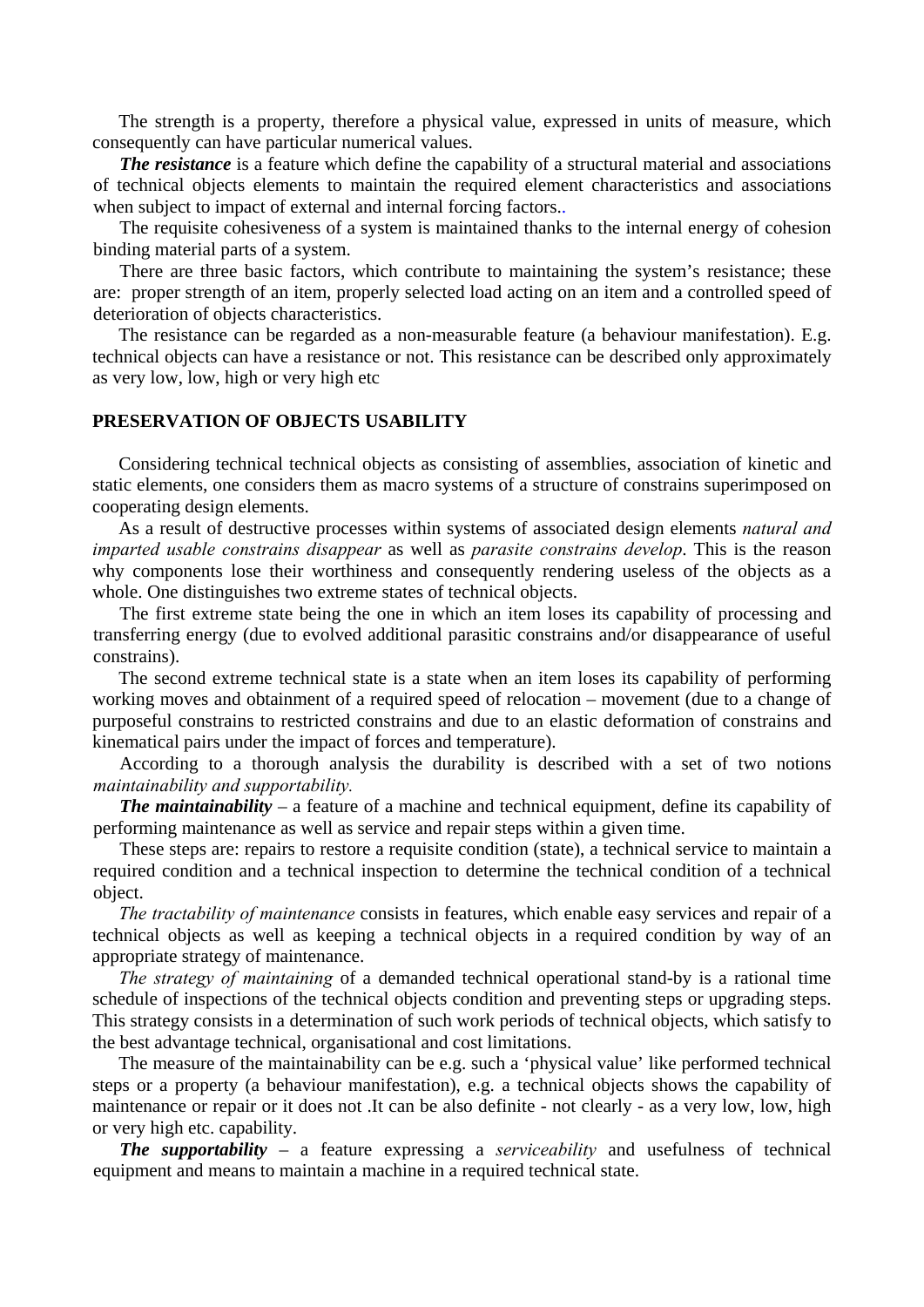The strength is a property, therefore a physical value, expressed in units of measure, which consequently can have particular numerical values.

*The resistance* is a feature which define the capability of a structural material and associations of technical objects elements to maintain the required element characteristics and associations when subject to impact of external and internal forcing factors..

The requisite cohesiveness of a system is maintained thanks to the internal energy of cohesion binding material parts of a system.

There are three basic factors, which contribute to maintaining the system's resistance; these are: proper strength of an item, properly selected load acting on an item and a controlled speed of deterioration of objects characteristics.

The resistance can be regarded as a non-measurable feature (a behaviour manifestation). E.g. technical objects can have a resistance or not. This resistance can be described only approximately as very low, low, high or very high etc

### **PRESERVATION OF OBJECTS USABILITY**

Considering technical technical objects as consisting of assemblies, association of kinetic and static elements, one considers them as macro systems of a structure of constrains superimposed on cooperating design elements.

As a result of destructive processes within systems of associated design elements *natural and imparted usable constrains disappear* as well as *parasite constrains develop*. This is the reason why components lose their worthiness and consequently rendering useless of the objects as a whole. One distinguishes two extreme states of technical objects.

The first extreme state being the one in which an item loses its capability of processing and transferring energy (due to evolved additional parasitic constrains and/or disappearance of useful constrains).

The second extreme technical state is a state when an item loses its capability of performing working moves and obtainment of a required speed of relocation – movement (due to a change of purposeful constrains to restricted constrains and due to an elastic deformation of constrains and kinematical pairs under the impact of forces and temperature).

According to a thorough analysis the durability is described with a set of two notions *maintainability and supportability.*

*The maintainability* – a feature of a machine and technical equipment, define its capability of performing maintenance as well as service and repair steps within a given time.

These steps are: repairs to restore a requisite condition (state), a technical service to maintain a required condition and a technical inspection to determine the technical condition of a technical object.

*The tractability of maintenance* consists in features, which enable easy services and repair of a technical objects as well as keeping a technical objects in a required condition by way of an appropriate strategy of maintenance.

*The strategy of maintaining* of a demanded technical operational stand-by is a rational time schedule of inspections of the technical objects condition and preventing steps or upgrading steps. This strategy consists in a determination of such work periods of technical objects, which satisfy to the best advantage technical, organisational and cost limitations.

The measure of the maintainability can be e.g. such a 'physical value' like performed technical steps or a property (a behaviour manifestation), e.g. a technical objects shows the capability of maintenance or repair or it does not .It can be also definite - not clearly - as a very low, low, high or very high etc. capability.

*The supportability –* a feature expressing a *serviceability* and usefulness of technical equipment and means to maintain a machine in a required technical state.